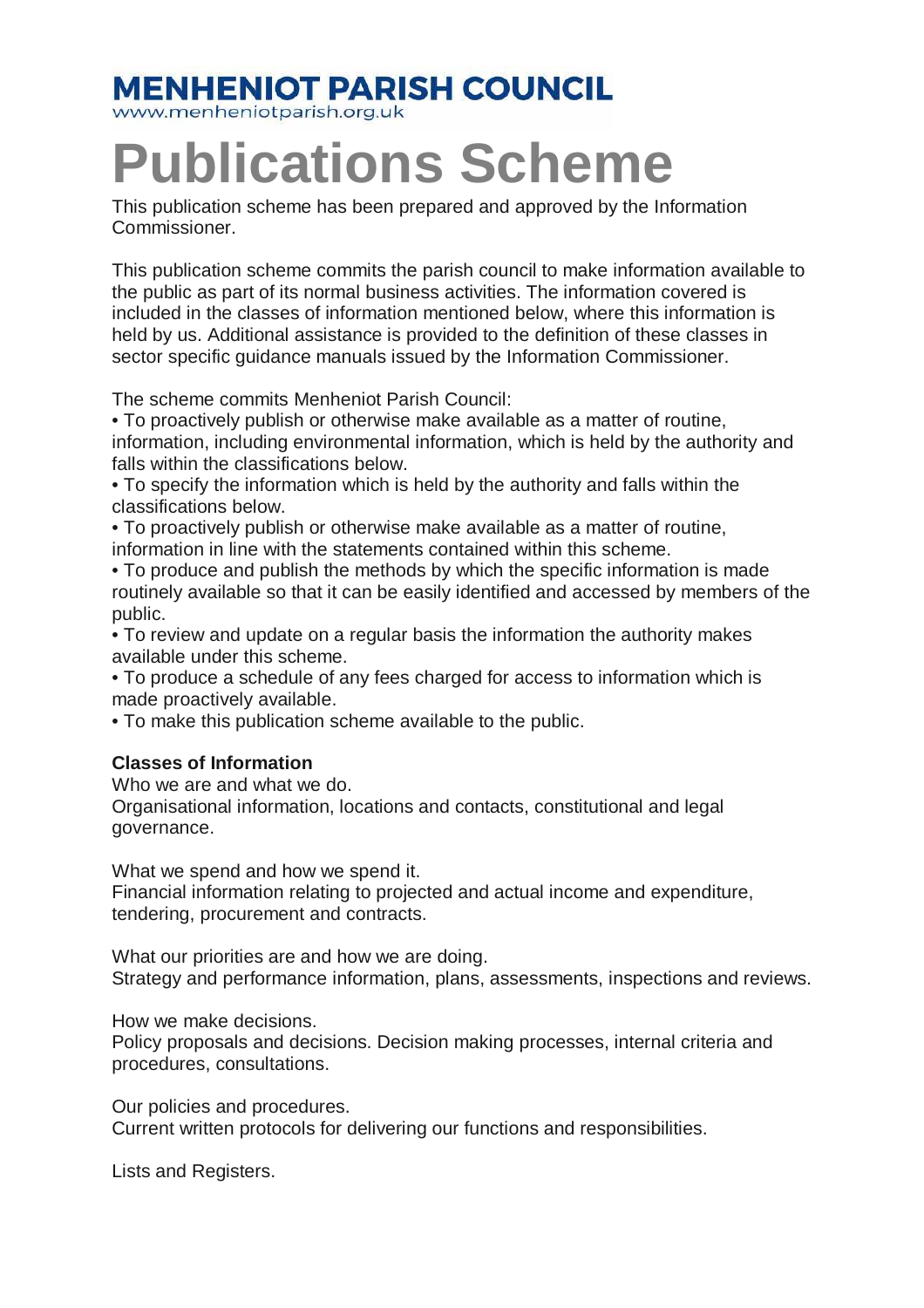## **MENHENIOT PARISH COUNCIL**

www.menheniotparish.org.uk

# **Publications Scheme**

This publication scheme has been prepared and approved by the Information Commissioner.

This publication scheme commits the parish council to make information available to the public as part of its normal business activities. The information covered is included in the classes of information mentioned below, where this information is held by us. Additional assistance is provided to the definition of these classes in sector specific guidance manuals issued by the Information Commissioner.

The scheme commits Menheniot Parish Council:

• To proactively publish or otherwise make available as a matter of routine, information, including environmental information, which is held by the authority and falls within the classifications below.

• To specify the information which is held by the authority and falls within the classifications below.

• To proactively publish or otherwise make available as a matter of routine, information in line with the statements contained within this scheme.

• To produce and publish the methods by which the specific information is made routinely available so that it can be easily identified and accessed by members of the public.

• To review and update on a regular basis the information the authority makes available under this scheme.

• To produce a schedule of any fees charged for access to information which is made proactively available.

• To make this publication scheme available to the public.

#### **Classes of Information**

Who we are and what we do.

Organisational information, locations and contacts, constitutional and legal governance.

What we spend and how we spend it.

Financial information relating to projected and actual income and expenditure, tendering, procurement and contracts.

What our priorities are and how we are doing. Strategy and performance information, plans, assessments, inspections and reviews.

How we make decisions.

Policy proposals and decisions. Decision making processes, internal criteria and procedures, consultations.

Our policies and procedures.

Current written protocols for delivering our functions and responsibilities.

Lists and Registers.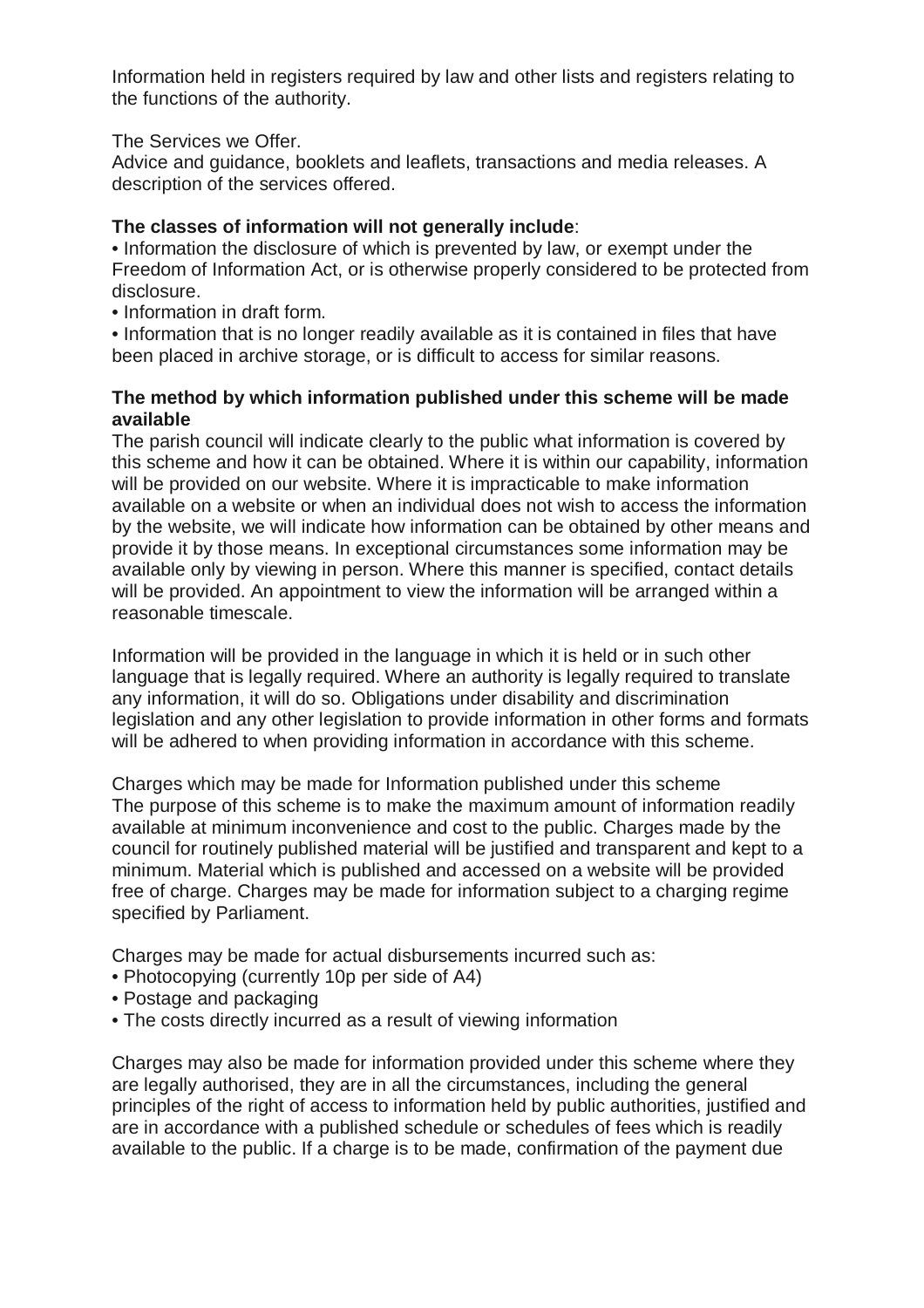Information held in registers required by law and other lists and registers relating to the functions of the authority.

The Services we Offer.

Advice and guidance, booklets and leaflets, transactions and media releases. A description of the services offered.

### **The classes of information will not generally include**:

• Information the disclosure of which is prevented by law, or exempt under the Freedom of Information Act, or is otherwise properly considered to be protected from disclosure.

• Information in draft form.

• Information that is no longer readily available as it is contained in files that have been placed in archive storage, or is difficult to access for similar reasons.

### **The method by which information published under this scheme will be made available**

The parish council will indicate clearly to the public what information is covered by this scheme and how it can be obtained. Where it is within our capability, information will be provided on our website. Where it is impracticable to make information available on a website or when an individual does not wish to access the information by the website, we will indicate how information can be obtained by other means and provide it by those means. In exceptional circumstances some information may be available only by viewing in person. Where this manner is specified, contact details will be provided. An appointment to view the information will be arranged within a reasonable timescale.

Information will be provided in the language in which it is held or in such other language that is legally required. Where an authority is legally required to translate any information, it will do so. Obligations under disability and discrimination legislation and any other legislation to provide information in other forms and formats will be adhered to when providing information in accordance with this scheme.

Charges which may be made for Information published under this scheme The purpose of this scheme is to make the maximum amount of information readily available at minimum inconvenience and cost to the public. Charges made by the council for routinely published material will be justified and transparent and kept to a minimum. Material which is published and accessed on a website will be provided free of charge. Charges may be made for information subject to a charging regime specified by Parliament.

Charges may be made for actual disbursements incurred such as:

- Photocopying (currently 10p per side of A4)
- Postage and packaging
- The costs directly incurred as a result of viewing information

Charges may also be made for information provided under this scheme where they are legally authorised, they are in all the circumstances, including the general principles of the right of access to information held by public authorities, justified and are in accordance with a published schedule or schedules of fees which is readily available to the public. If a charge is to be made, confirmation of the payment due